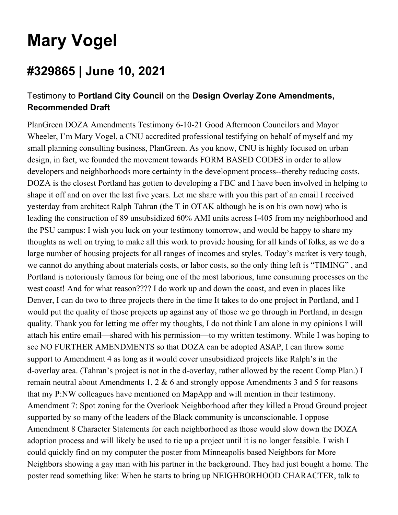## **Mary Vogel**

## **#329865 | June 10, 2021**

## Testimony to **Portland City Council** on the **Design Overlay Zone Amendments, Recommended Draft**

PlanGreen DOZA Amendments Testimony 6-10-21 Good Afternoon Councilors and Mayor Wheeler, I'm Mary Vogel, a CNU accredited professional testifying on behalf of myself and my small planning consulting business, PlanGreen. As you know, CNU is highly focused on urban design, in fact, we founded the movement towards FORM BASED CODES in order to allow developers and neighborhoods more certainty in the development process--thereby reducing costs. DOZA is the closest Portland has gotten to developing a FBC and I have been involved in helping to shape it off and on over the last five years. Let me share with you this part of an email I received yesterday from architect Ralph Tahran (the T in OTAK although he is on his own now) who is leading the construction of 89 unsubsidized 60% AMI units across I-405 from my neighborhood and the PSU campus: I wish you luck on your testimony tomorrow, and would be happy to share my thoughts as well on trying to make all this work to provide housing for all kinds of folks, as we do a large number of housing projects for all ranges of incomes and styles. Today's market is very tough, we cannot do anything about materials costs, or labor costs, so the only thing left is "TIMING" , and Portland is notoriously famous for being one of the most laborious, time consuming processes on the west coast! And for what reason???? I do work up and down the coast, and even in places like Denver, I can do two to three projects there in the time It takes to do one project in Portland, and I would put the quality of those projects up against any of those we go through in Portland, in design quality. Thank you for letting me offer my thoughts, I do not think I am alone in my opinions I will attach his entire email—shared with his permission—to my written testimony. While I was hoping to see NO FURTHER AMENDMENTS so that DOZA can be adopted ASAP, I can throw some support to Amendment 4 as long as it would cover unsubsidized projects like Ralph's in the d-overlay area. (Tahran's project is not in the d-overlay, rather allowed by the recent Comp Plan.) I remain neutral about Amendments 1, 2 & 6 and strongly oppose Amendments 3 and 5 for reasons that my P:NW colleagues have mentioned on MapApp and will mention in their testimony. Amendment 7: Spot zoning for the Overlook Neighborhood after they killed a Proud Ground project supported by so many of the leaders of the Black community is unconscionable. I oppose Amendment 8 Character Statements for each neighborhood as those would slow down the DOZA adoption process and will likely be used to tie up a project until it is no longer feasible. I wish I could quickly find on my computer the poster from Minneapolis based Neighbors for More Neighbors showing a gay man with his partner in the background. They had just bought a home. The poster read something like: When he starts to bring up NEIGHBORHOOD CHARACTER, talk to